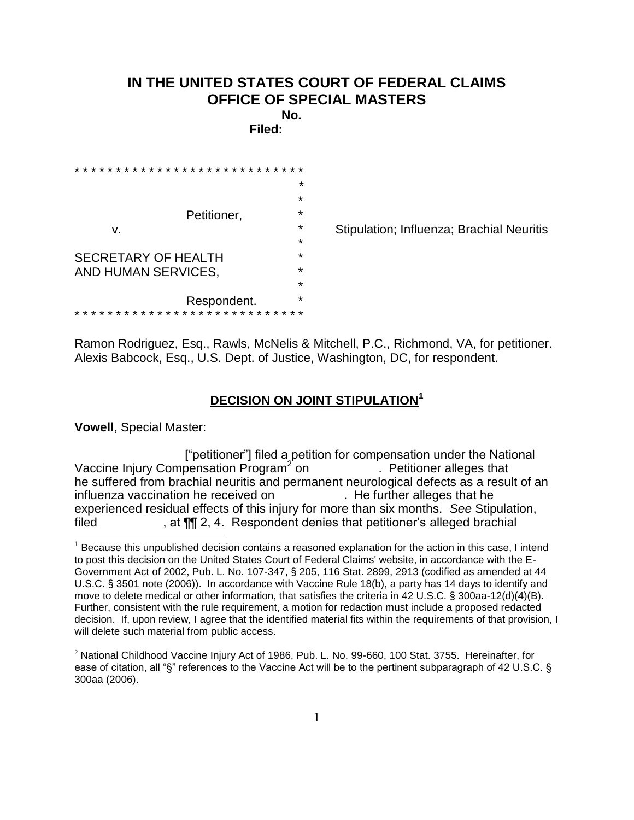## **IN THE UNITED STATES COURT OF FEDERAL CLAIMS OFFICE OF SPECIAL MASTERS**

**No. Filed:** 

|  |                     |  |  |  |  |  |  |  |  |  |  |  |  |  |  |             |   |  |  |  |  | ÷ |
|--|---------------------|--|--|--|--|--|--|--|--|--|--|--|--|--|--|-------------|---|--|--|--|--|---|
|  |                     |  |  |  |  |  |  |  |  |  |  |  |  |  |  |             | ÷ |  |  |  |  |   |
|  | Petitioner,         |  |  |  |  |  |  |  |  |  |  |  |  |  |  | ÷           |   |  |  |  |  |   |
|  | v.                  |  |  |  |  |  |  |  |  |  |  |  |  |  |  | $\star$     |   |  |  |  |  |   |
|  |                     |  |  |  |  |  |  |  |  |  |  |  |  |  |  | $\star$     |   |  |  |  |  |   |
|  | SECRETARY OF HEALTH |  |  |  |  |  |  |  |  |  |  |  |  |  |  | ÷           |   |  |  |  |  |   |
|  | AND HUMAN SERVICES, |  |  |  |  |  |  |  |  |  |  |  |  |  |  | $\star$     |   |  |  |  |  |   |
|  |                     |  |  |  |  |  |  |  |  |  |  |  |  |  |  |             |   |  |  |  |  | ÷ |
|  |                     |  |  |  |  |  |  |  |  |  |  |  |  |  |  | Respondent. |   |  |  |  |  | ÷ |
|  |                     |  |  |  |  |  |  |  |  |  |  |  |  |  |  |             |   |  |  |  |  |   |

Stipulation; Influenza; Brachial Neuritis

Ramon Rodriguez, Esq., Rawls, McNelis & Mitchell, P.C., Richmond, VA, for petitioner. Alexis Babcock, Esq., U.S. Dept. of Justice, Washington, DC, for respondent.

## **DECISION ON JOINT STIPULATION<sup>1</sup>**

**Vowell**, Special Master:

 $\overline{a}$ 

 ["petitioner"] filed a petition for compensation under the National Vaccine Injury Compensation Program<sup>2</sup> on . Petitioner alleges that he suffered from brachial neuritis and permanent neurological defects as a result of an influenza vaccination he received on . He further alleges that he experienced residual effects of this injury for more than six months. *See* Stipulation, filed , at  $\P$ [ 2, 4. Respondent denies that petitioner's alleged brachial

 $1$  Because this unpublished decision contains a reasoned explanation for the action in this case, I intend to post this decision on the United States Court of Federal Claims' website, in accordance with the E-Government Act of 2002, Pub. L. No. 107-347, § 205, 116 Stat. 2899, 2913 (codified as amended at 44 U.S.C. § 3501 note (2006)). In accordance with Vaccine Rule 18(b), a party has 14 days to identify and move to delete medical or other information, that satisfies the criteria in 42 U.S.C. § 300aa-12(d)(4)(B). Further, consistent with the rule requirement, a motion for redaction must include a proposed redacted decision.If, upon review, I agree that the identified material fits within the requirements of that provision, I will delete such material from public access.

 $2$  National Childhood Vaccine Injury Act of 1986, Pub. L. No. 99-660, 100 Stat. 3755. Hereinafter, for ease of citation, all "§" references to the Vaccine Act will be to the pertinent subparagraph of 42 U.S.C. § 300aa (2006).